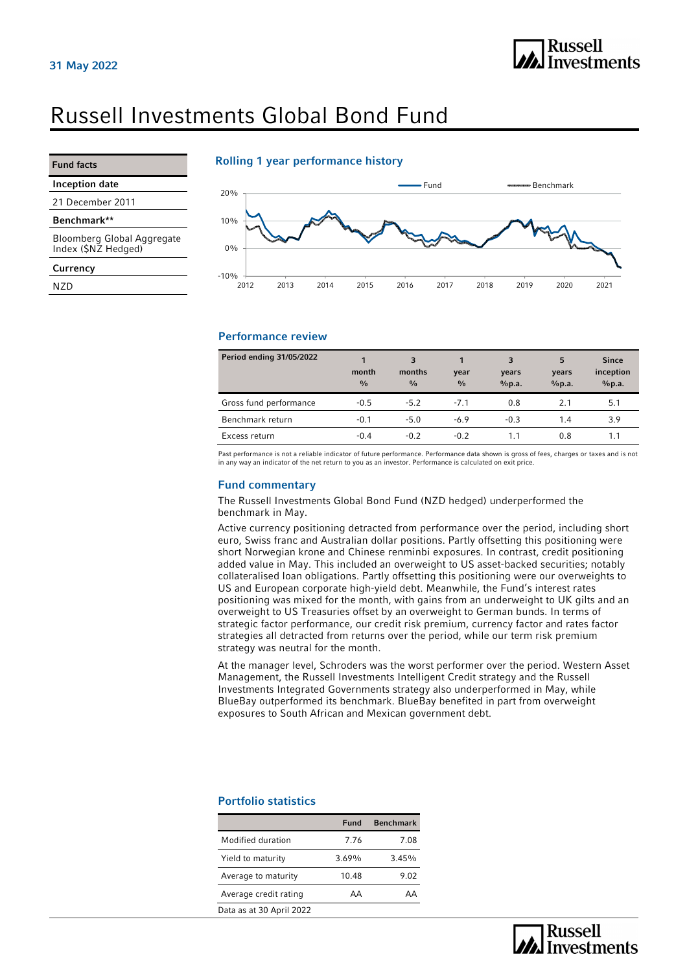# Russell Investments Global Bond Fund

### Inception date

21 December 2011

Benchmark\*\*

Bloomberg Global Aggregate Index (\$NZ Hedged)

**Currency** 

**NZD** 

### Rolling 1 year performance history



### Performance review

| Period ending 31/05/2022 | 1<br>month<br>$\frac{0}{0}$ | 3<br>months<br>$\frac{0}{0}$ | year<br>$\frac{0}{0}$ | 3<br>years<br>%p.a. | 5<br>years<br>%p.a. | <b>Since</b><br>inception<br>%p.a. |
|--------------------------|-----------------------------|------------------------------|-----------------------|---------------------|---------------------|------------------------------------|
| Gross fund performance   | $-0.5$                      | $-5.2$                       | $-7.1$                | 0.8                 | 2.1                 | 5.1                                |
| Benchmark return         | $-0.1$                      | $-5.0$                       | $-6.9$                | $-0.3$              | 1.4                 | 3.9                                |
| Excess return            | $-0.4$                      | $-0.2$                       | $-0.2$                | 1.1                 | 0.8                 | 1.1                                |

Past performance is not a reliable indicator of future performance. Performance data shown is gross of fees, charges or taxes and is not in any way an indicator of the net return to you as an investor. Performance is calculated on exit price.

### Fund commentary

The Russell Investments Global Bond Fund (NZD hedged) underperformed the benchmark in May.

Active currency positioning detracted from performance over the period, including short euro, Swiss franc and Australian dollar positions. Partly offsetting this positioning were short Norwegian krone and Chinese renminbi exposures. In contrast, credit positioning added value in May. This included an overweight to US asset-backed securities; notably collateralised loan obligations. Partly offsetting this positioning were our overweights to US and European corporate high-yield debt. Meanwhile, the Fund's interest rates positioning was mixed for the month, with gains from an underweight to UK gilts and an overweight to US Treasuries offset by an overweight to German bunds. In terms of strategic factor performance, our credit risk premium, currency factor and rates factor strategies all detracted from returns over the period, while our term risk premium strategy was neutral for the month.

At the manager level, Schroders was the worst performer over the period. Western Asset Management, the Russell Investments Intelligent Credit strategy and the Russell Investments Integrated Governments strategy also underperformed in May, while BlueBay outperformed its benchmark. BlueBay benefited in part from overweight exposures to South African and Mexican government debt.

### Portfolio statistics

|                          | Fund  | <b>Benchmark</b> |
|--------------------------|-------|------------------|
| Modified duration        | 7.76  | 7.08             |
| Yield to maturity        | 3.69% | 3.45%            |
| Average to maturity      | 10.48 | 9.02             |
| Average credit rating    | AА    | AΑ               |
| Data as at 30 April 2022 |       |                  |